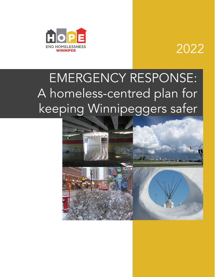

# 2022

# EMERGENCY RESPONSE: A homeless-centred plan for keeping Winnipeggers safer

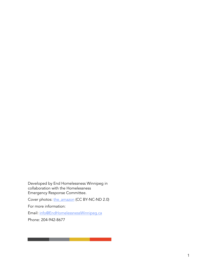Developed by End Homelessness Winnipeg in collaboration with the Homelessness Emergency Response Committee.

Cover photos: the amazon (CC BY-NC-ND 2.0)

For more information:

Email: [info@EndHomelessnessWinnipeg.ca](mailto:info@EndHomelessnessWinnipeg.ca)

Phone: 204-942-8677

\_\_\_\_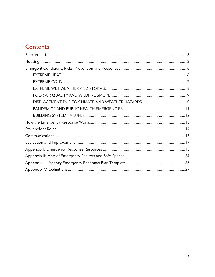# **Contents**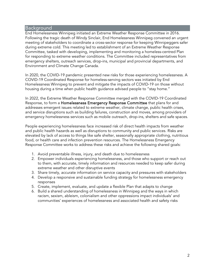#### <span id="page-3-0"></span>Background

End Homelessness Winnipeg initiated an Extreme Weather Response Committee in 2016. Following the tragic death of Windy Sinclair, End Homelessness Winnipeg convened an urgent meeting of stakeholders to coordinate a cross-sector response for keeping Winnipeggers safer during extreme cold. This meeting led to establishment of an Extreme Weather Response Committee, tasked with developing, implementing and monitoring a homeless-centred Plan for responding to extreme weather conditions. The Committee included representatives from emergency shelters, outreach services, drop-ins, municipal and provincial departments, and Environment and Climate Change Canada.

In 2020, the COVID-19 pandemic presented new risks for those experiencing homelessness. A COVID-19 Coordinated Response for homeless-serving sectors was initiated by End Homelessness Winnipeg to prevent and mitigate the impacts of COVID-19 on those without housing during a time when public health guidance advised people to "stay home."

In 2022, the Extreme Weather Response Committee merged with the COVID-19 Coordinated Response, to form a Homelessness Emergency Response Committee that plans for and addresses emergent issues related to extreme weather, climate change, public health crises, and service disruptions such as building failures, construction and moves, among providers of emergency homelessness services such as mobile outreach, drop-ins, shelters and safe spaces.

People experiencing homelessness face increased risk of direct health impacts from weather and public health hazards as well as disruptions to community and public services. Risks are elevated by lack of access to things like safe shelter, seasonally appropriate clothing, nutritious food, or health care and infection prevention resources. The Homelessness Emergency Response Committee works to address these risks and achieve the following shared goals:

- 1. Avoid preventable illness, injury, and death due to homelessness
- 2. Empower individuals experiencing homelessness, and those who support or reach out to them, with accurate, timely information and resources needed to keep safer during extreme weather and other disruptive events
- 3. Share timely, accurate information on service capacity and pressures with stakeholders
- 4. Develop a responsive and sustainable funding strategy for homelessness emergency responses
- 5. Create, implement, evaluate, and update a flexible Plan that adapts to change
- 6. Build a shared understanding of homelessness in Winnipeg and the ways in which racism, sexism, ableism, colonialism and other oppressions impact individuals' and communities' experiences of homelessness and associated health and safety risks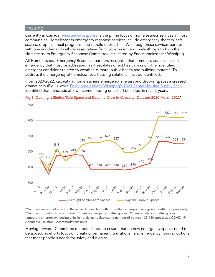### <span id="page-4-0"></span>**Housing**

Currently in Canada, **emergency response** is the prime focus of homelessness services in most communities. Homelessness emergency response services include emergency shelters, safe spaces, drop-ins, meal programs, and mobile outreach. In Winnipeg, these services partner with one another and with representatives from government and philanthropy to form the Homelessness Emergency Response Committee, facilitated by End Homelessness Winnipeg.

All Homelessness Emergency Response partners recognize that homelessness itself is the emergency that must be addressed, as it escalates direct health risks of other identified emergent conditions related to weather, climate, public health and building systems. To address the emergency of homelessness, housing solutions must be identified.

From 2020-2022, capacity at homelessness emergency shelters and drop-in spaces increased dramatically (Fig.1), while [End Homelessness Winnipeg's 2021 Rental Housing Supply Scan](https://endhomelessnesswinnipeg.ca/wp-content/uploads/202109-Rental-Housing-Supply-Baseline-Scan.pdf) identified that hundreds of low-income housing units had been lost in recent years.



#### Fig.1: Overnight Shelter/Safe Space and Daytime Drop-In Capacity, October 2020-March 2022\*

\*Numbers are not collected on the same date each month, but reflect changes in any given month from previously \*Numbers do not include additional 13 family emergency shelter spaces; 73 family violence shelter spaces; temporary emergency housing units in hotels; nor a fluctuating number of between 39-160 specialized COVID-19 Alternative Isolation Accommodations units

Moving forward, Committee members hope to ensure that no new emergency spaces need to be added, as efforts focus on creating permanent, transitional, and emergency housing options that meet people's needs for safety and dignity.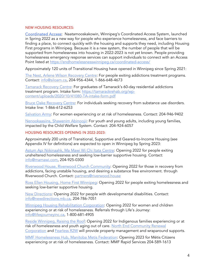#### NEW HOUSING RESOURCES:

[Coordinated Access:](https://endhomelessnesswinnipeg.ca/coordinated-access/) Naatamooskakowin, Winnipeg's Coordinated Access System, launched in Spring 2022 as a new way for people who experience homelessness, and face barriers to finding a place, to connect quickly with the housing and supports they need, including Housing First programs in Winnipeg. Because it is a new system, the number of people that will be supported from homelessness into housing in 2022-2023 is not yet known. People providing homelessness emergency response services can support individuals to connect with an Access Point listed at<https://endhomelessnesswinnipeg.ca/coordinated-access/>

Approximately 120 units of Transitional Housing have opened in Winnipeg since Spring 2021:

[The Nest, Arlene Wilson Recovery Centre:](https://www.siloam.ca/service/the-nest/) For people exiting addictions treatment programs. Contact: [info@siloam.ca,](mailto:info@siloam.ca) 204-956-4344, 1-866-648-4673

[Tamarack Recovery Centre:](https://tamarackrehab.org/) For graduates of Tamarack's 60-day residential addictions treatment program. Intake form: [https://tamarackrehab.org/wp](https://tamarackrehab.org/wp-content/uploads/2020/10/41080-TA-intake-form.pdf)[content/uploads/2020/10/41080-TA-intake-form.pdf](https://tamarackrehab.org/wp-content/uploads/2020/10/41080-TA-intake-form.pdf) 

[Bruce Oake Recovery Centre:](https://www.bruceoakerecoverycentre.ca/programs/admissions) For individuals seeking recovery from substance use disorders. Intake line: 1-866-612-6253

[Salvation Army:](https://www.wpgboothcentre.ca/contacts.html) For women experiencing or at risk of homelessness. Contact: 204-946-9402

[Nenookaasiins, Shawenim Abinoojii:](https://shawenim-abinoojii.ca/index.php/programs/memengoo-program) For youth and young adults, including young families, impacted by the Child Welfare System. Contact: 204-924-6057

#### HOUSING RESOURCES OPENING IN 2022-2023:

Approximately 200 units of Transitional, Supportive and Geared-to-Income Housing (see Appendix IV for definitions) are expected to open in Winnipeg by Spring 2023:

[Astum Api Niikinaahk, Ma Mawi Wi Chi Itata Centre:](https://www.mamawi.com/) Opening 2022 for people exiting unsheltered homelessness and seeking low-barrier supportive housing. Contact: [info@mamawi.com,](mailto:info@mamawi.com) 204-925-0300

Riverwood [House, Riverwood Church Community:](https://www.riverwood.house/) Opening 2022 for those in recovery from addictions, facing unstable housing, and desiring a substance free environment. through Riverwood Church. Contact: [partners@riverwood.house](mailto:partners@riverwood.house) 

Ross Ellen [Housing, Home First](https://www.jilmark.com/project-gallery/ross-ellen-housing) Winnipeg: Opening 2022 for people exiting homelessness and seeking low-barrier supportive housing.

[New Directions:](https://newdirections.mb.ca/) Opening 2022 for people with developmental disabilities. Contact: [info@newdirections.mb.ca,](mailto:info@newdirections.mb.ca) 204-786-7051

[Winnipeg Housing Rehabilitation Corporation:](https://whrc.ca/how-to-apply/apply-now/) Opening 2022 for women and children experiencing or at risk of homelessness. Referrals through Life's Journey: [info@lifesjourneyinc.ca,](mailto:info@lifesjourneyinc.ca) 1-800-681-4905

[Reside Winnipeg, Raising the Roof:](https://raisingtheroof.org/reside-winnipeg/) Opening 2022 for Indigenous families experiencing or at risk of homelessness and youth aging out of care. North End Community Renewal [Corporation](http://necrc.org/) and [Fearless R2W](https://fearlessr2w.ca/) will provide property management and wraparound supports.

[MMF Homelessness Hub, Manitoba Metis Federation:](https://www.mmf.mb.ca/wcm-docs/news/lemetis_2022_02_02_20220202121717.pdf) Opening 2023 for Métis Citizens experiencing or at risk of homelessness. Contact: MMF Rapid Services 204-589-1613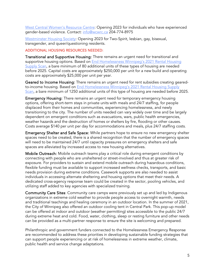[West Central Women's Resource Centre:](http://uwcrc.ca/uwcrc2-0-project-590-victor) Opening 2023 for individuals who have experienced gender-based violence. Contact: [info@wcwrc.ca](mailto:info@wcwrc.ca) 204-774-8975

[Westminster Housing Society:](http://westminsterhousingsociety.org/tenants/) Opening 2023 for Two-Spirit, lesbian, gay, bisexual, transgender, and queer/questioning residents.

#### ADDITIONAL HOUSING RESOURCES NEEDED:

Transitional and Supportive Housing: There remains an urgent need for transitional and supportive housing options. Based on **End Homelessness Winnipeg's 2021 Rental Housing** [Supply Scan,](https://endhomelessnesswinnipeg.ca/wp-content/uploads/202109-Rental-Housing-Supply-Baseline-Scan.pdf) a bare minimum of 80 additional units of these types of housing are needed before 2025. Capital costs are approximately \$250,000 per unit for a new build and operating costs are approximately \$25,000 per unit per year.

Geared to Income Housing: There remains an urgent need for rent subsidies creating gearedto-income housing. Based on **End Homelessness Winnipeg's 2021 Rental Housing Supply** [Scan,](https://endhomelessnesswinnipeg.ca/wp-content/uploads/202109-Rental-Housing-Supply-Baseline-Scan.pdf) a bare minimum of 1250 additional units of this type of housing are needed before 2025.

Emergency Housing: There remains an urgent need for temporary emergency housing options, offering short-term stays in private units with meals and 24/7 staffing, for people displaced from their homes and communities, experiencing homelessness, and newly transitioning to the city. The number of units needed can vary widely over time and be largely dependent on emergent conditions such as evacuations, wars, public health emergencies, weather hazards and the destruction of homes or shelters by fire, flooding or other causes. Costs average \$140 per unit per day for accommodations and meals, plus 24/7 staffing costs.

Emergency Shelter and Safe Space: While partners hope to ensure no new emergency shelter spaces need to be created, there is a shared recognition that the number of emergency spaces will need to be maintained 24/7 until capacity pressures on emergency shelters and safe spaces are alleviated by increased access to new housing alternatives.

Mobile Outreach: Mobile outreach teams play a critical role during emergent conditions by connecting with people who are unsheltered or street-involved and thus at greater risk of exposure. For providers to sustain and extend mobile outreach during hazardous conditions, flexible funding must be available to support increased wellness checks, transports, and basic needs provision during extreme conditions. Casework supports are also needed to assist individuals in accessing alternate sheltering and housing options that meet their needs. A dedicated cross-agency response team could be created in the sector, pooling vehicles, and utilizing staff added to key agencies with specialized training.

Community Care Sites: Community care camps were previously set up and led by Indigenous organizations in extreme cold weather to provide people access to overnight warmth, needs and traditional teachings and healing ceremony in an outdoor location. In the summer of 2021, the City of Winnipeg also offered an outdoor cooling tent in Central Park. This pop-up model can be offered at indoor and outdoor (weather permitting) sites accessible to the public 24/7 during extreme heat and cold. Food, water, clothing, sleep or resting furniture and other needs can be provided as a multi-partner response to ensure the site is welcoming and prepared.

Philanthropic and government funders connected to the Homelessness Emergency Response are recommended to address these priorities in developing sustainable funding strategies that can support people experiencing or at risk of homelessness in extreme weather, climate, public health and service change adaptations.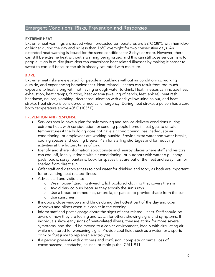# <span id="page-7-0"></span>Emergent Conditions, Risks, Prevention and Responses

#### <span id="page-7-1"></span>**EXTREME HEAT**

Extreme heat warnings are issued when forecasted temperatures are 32°C (38°C with humidex) or higher during the day and no less than 16°C overnight for two consecutive days. An extended heat warning is issued for the same conditions for 3 days or more. However, there can still be extreme heat without a warning being issued and this can still pose serious risks to people. High humidity (humidex) can exacerbate heat related illnesses by making it harder to sweat to cool off because the air is already saturated with moisture.

#### RISKS

Extreme heat risks are elevated for people in buildings without air conditioning, working outside, and experiencing homelessness. Heat related illnesses can result from too much exposure to heat, along with not having enough water to drink. Heat illnesses can include heat exhaustion, heat cramps, fainting, heat edema (swelling of hands, feet, ankles), heat rash, headache, nausea, vomiting, decreased urination with dark yellow urine colour, and heat stroke. Heat stroke is considered a medical emergency. During heat stroke, a person has a core body temperature above 40° C (105° F).

- Services should have a plan for safe working and service delivery conditions during extreme heat, with consideration for sending people home if heat gets to unsafe temperatures if the building does not have air conditioning, has inadequate air conditioning, or employees are working outside. Provide extra water and water breaks, cooling spaces and cooling breaks. Plan for staffing shortages and for reducing activities at the hottest times of day.
- Identify and share information about onsite and nearby places where staff and visitors can cool off, ideally indoors with air conditioning, or outdoors with water e.g., spray pads, pools, spray fountains. Look for spaces that are out of the heat and away from or shaded from direct sun.
- Offer staff and visitors access to cool water for drinking and food, as both are important for preventing heat related illness.
- Advise staff and visitors to:
	- o Wear loose-fitting, lightweight, light-colored clothing that covers the skin.
	- o Avoid dark colours because they absorb the sun's rays.
	- o Use a broad-brimmed hat, umbrella, or parasol to provide shade from the sun.
	- o Use sunscreen.
- If indoors, close windows and blinds during the hottest part of the day and open windows and blinds when it is cooler in the evening.
- Inform staff and post signage about the signs of heat-related illness. Staff should be aware of how they are feeling and watch for others showing signs and symptoms. If individuals show early signs of heat-related illness, they are at risk for more severe symptoms, and should be moved to a cooler environment, ideally with circulating air, while monitored for worsening signs. Provide cool fluids such as a water, or a sports drink or fruit juice to replenish electrolytes.
- If a person presents with dizziness and confusion; complete or partial loss of consciousness; headache, nausea, or rapid pulse, CALL 911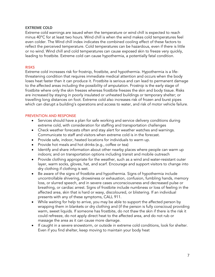#### <span id="page-8-0"></span>**EXTREME COLD**

Extreme cold warnings are issued when the temperature or wind chill is expected to reach minus 40°C for at least two hours. Wind chill is when the wind makes cold temperatures feel even colder. The Wind chill index indicates the combined cooling effect of these factors to reflect the perceived temperature. Cold temperatures can be hazardous, even if there is little or no wind. Wind chill and cold temperatures can cause exposed skin to freeze very quickly, leading to frostbite. Extreme cold can cause hypothermia, a potentially fatal condition.

#### **RISKS**

Extreme cold increases risk for frostnip, frostbite, and hypothermia. Hypothermia is a lifethreatening condition that requires immediate medical attention and occurs when the body loses heat faster than it can produce it. Frostbite is serious and can lead to permanent damage to the affected areas including the possibility of amputation. Frostnip is the early stage of frostbite where only the skin freezes whereas frostbite freezes the skin and body tissue. Risks are increased by staying in poorly insulated or unheated buildings or temporary shelter; or travelling long distances on foot. Extreme cold also increases risk of frozen and burst pipes which can disrupt a building's operations and access to water, and risk of motor vehicle failure.

- Services should have a plan for safe working and service delivery conditions during extreme cold, with consideration for staffing and transportation challenges
- Check weather forecasts often and stay alert for weather watches and warnings. Communicate to staff and visitors when extreme cold is in the forecast.
- Provide safe, indoor, heated locations for individuals to warm up.
- Provide hot meals and hot drinks (e.g., coffee or tea)
- Identify and share information about other nearby places where people can warm up indoors; and on transportation options including transit and mobile outreach
- Provide clothing appropriate for the weather, such as a wind and water-resistant outer layer, warm socks, gloves, hat, and scarf. Encourage and support visitors to change into dry clothing if clothing is wet.
- Be aware of the signs of frostbite and hypothermia. Signs of hypothermia include uncontrollable shivering, drowsiness or exhaustion, confusion, fumbling hands, memory loss, or slurred speech, and in severe cases unconsciousness and decreased pulse or breathing, or cardiac arrest. Signs of frostbite include numbness or loss of feeling in the affected area, skin that is hard or waxy, discoloured, or blistering. If an individual presents with any of these symptoms, CALL 911.
- While waiting for help to arrive, you may be able to support the affected person by wrapping them in blankets or dry clothing and (if the person is fully conscious) providing warm, sweet liquids. If someone has frostbite, do not thaw the skin if there is the risk it could refreeze, do not apply direct heat to the affected area, and do not rub or massage the area as it can cause more damage.
- If caught in a severe snowstorm, or outside in extreme cold conditions, look for shelter. Even if you find shelter, keep moving to maintain your body heat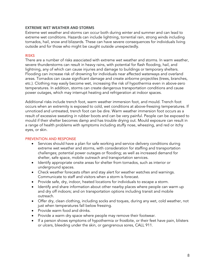#### <span id="page-9-0"></span>**EXTREME WET WEATHER AND STORMS**

Extreme wet weather and storms can occur both during winter and summer and can lead to extreme wet conditions. Hazards can include lightning, torrential rain, strong winds including tornados, hail, snow and blizzards. These can have severe consequences for individuals living outside and for those who might be caught outside unexpectedly.

#### RISKS

There are a number of risks associated with extreme wet weather and storms. In warm weather, severe thunderstorms can result in heavy rains, with potential for flash flooding, hail, and lightning, any of which can cause injuries and damage to buildings or temporary shelters. Flooding can increase risk of drowning for individuals near affected waterways and overland areas. Tornados can cause significant damage and create airborne projectiles (trees, branches, etc.). Clothing may easily become wet, increasing the risk of hypothermia even in above-zero temperatures. In addition, storms can create dangerous transportation conditions and cause power outages, which may interrupt heating and refrigeration at indoor spaces.

Additional risks include trench foot, warm weather immersion foot, and mould. Trench foot occurs when an extremity is exposed to cold, wet conditions at above-freezing temperatures. If unnoticed and untreated, trench foot can be dire. Warm weather immersion foot occurs as a result of excessive sweating in rubber boots and can be very painful. People can be exposed to mould if their shelter becomes damp and has trouble drying out. Mould exposure can result in a range of health problems with symptoms including stuffy nose, wheezing, and red or itchy eyes, or skin.

- Services should have a plan for safe working and service delivery conditions during extreme wet weather and storms, with consideration for staffing and transportation challenges; potential power outages or flooding; as well as increased demand for shelter, safe space, mobile outreach and transportation services.
- Identify appropriate onsite areas for shelter from tornados, such as interior or underground spaces.
- Check weather forecasts often and stay alert for weather watches and warnings. Communicate to staff and visitors when a storm is forecast.
- Provide safe, dry, indoor, heated locations for individuals to escape a storm.
- Identify and share information about other nearby places where people can warm up and dry off indoors; and on transportation options including transit and mobile outreach.
- Offer dry, clean clothing, including socks and toques, during any wet, cold weather, not just when temperatures fall below freezing.
- Provide warm food and drinks.
- Provide a warm dry space where people may remove their footwear.
- If a person shows symptoms of hypothermia or frostbite, or their feet have pain, blisters or ulcers, bleeding under the skin, or gangrenous sores, CALL 911.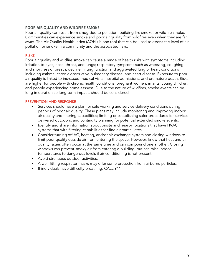#### <span id="page-10-0"></span>**POOR AIR QUALITY AND WILDFIRE SMOKE**

Poor air quality can result from smog due to pollution, building fire smoke, or wildfire smoke. Communities can experience smoke and poor air quality from wildfires even when they are far away. The Air Quality Health Index (AQHI) is one tool that can be used to assess the level of air pollution or smoke in a community and the associated risks.

#### RISKS

Poor air quality and wildfire smoke can cause a range of health risks with symptoms including irritation to eyes, nose, throat, and lungs; respiratory symptoms such as wheezing, coughing, and shortness of breath; decline in lung function and aggravated lung or heart conditions including asthma, chronic obstructive pulmonary disease, and heart disease. Exposure to poor air quality is linked to increased medical visits, hospital admissions, and premature death. Risks are higher for people with chronic health conditions, pregnant women, infants, young children, and people experiencing homelessness. Due to the nature of wildfires, smoke events can be long in duration so long-term impacts should be considered.

- Services should have a plan for safe working and service delivery conditions during periods of poor air quality. These plans may include monitoring and improving indoor air quality and filtering capabilities; limiting or establishing safer procedures for services delivered outdoors; and continuity planning for potential extended smoke events.
- Identify and share information about onsite and nearby locations that have HVAC systems that with filtering capabilities for fine air particulates.
- Consider turning off AC, heating, and/or air exchange system and closing windows to limit poor quality outside air from entering the space. However, know that heat and air quality issues often occur at the same time and can compound one another. Closing windows can prevent smoky air from entering a building, but can raise indoor temperatures to dangerous levels if air conditioning is not present.
- Avoid strenuous outdoor activities.
- A well-fitting respirator masks may offer some protection from airborne particles.
- If individuals have difficulty breathing, CALL 911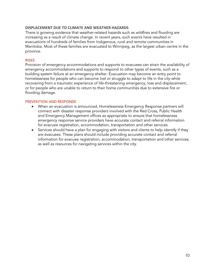#### <span id="page-11-0"></span>**DISPLACEMENT DUE TO CLIMATE AND WEATHER HAZARDS**

There is growing evidence that weather-related hazards such as wildfires and flooding are increasing as a result of climate change. In recent years, such events have resulted in evacuations of hundreds of families from Indigenous, rural and remote communities in Manitoba. Most of these families are evacuated to Winnipeg, as the largest urban centre in the province.

#### **RISKS**

Provision of emergency accommodations and supports to evacuees can strain the availability of emergency accommodations and supports to respond to other types of events, such as a building system failure at an emergency shelter. Evacuation may become an entry point to homelessness for people who can become lost or struggle to adapt to life in the city while recovering from a traumatic experience of life-threatening emergency, loss and displacement; or for people who are unable to return to their home communities due to extensive fire or flooding damage.

- When an evacuation is announced, Homelessness Emergency Response partners will connect with disaster response providers involved with the Red Cross, Public Health and Emergency Management offices as appropriate to ensure that homelessness emergency response service providers have accurate contact and referral information for evacuee registration, accommodation, transportation and other services.
- Services should have a plan for engaging with visitors and clients to help identify if they are evacuees. These plans should include providing accurate contact and referral information for evacuee registration, accommodation, transportation and other services; as well as resources for navigating services within the city.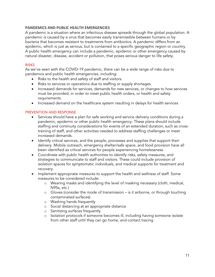#### <span id="page-12-0"></span>**PANDEMICS AND PUBLIC HEALTH EMERGENCIES**

A pandemic is a situation where an infectious disease spreads through the global population. A pandemic is caused by a virus that becomes easily transmissible between humans or by bacteria that becomes resistant to treatments from antibiotics. A pandemic differs from an epidemic, which is just as serious, but is contained to a specific geographic region or country. A public health emergency can include a pandemic, epidemic or other emergency caused by natural disaster, disease, accident or pollution, that poses serious danger to life safety.

#### RISKS

As we've seen with the COVID-19 pandemic, there can be a wide range of risks due to pandemics and public health emergencies, including:

- Risks to the health and safety of staff and visitors.
- Risks to services or operations due to staffing or supply shortages.
- Increased demands for services, demands for new services, or changes to how services must be provided, in order to meet public health orders, or health and safety requirements.
- Increased demand on the healthcare system resulting in delays for health services

- Services should have a plan for safe working and service delivery conditions during a pandemic, epidemic or other public health emergency. These plans should include staffing and continuity considerations for events of an extended duration, such as crosstraining of staff, and other activities needed to address staffing challenges or meet increased demands.
- Identify critical services, and the people, processes and supplies that support their delivery. Mobile outreach, emergency shelter/safe space, and food provision have all been identified as critical services for people experiencing homelessness.
- Coordinate with public health authorities to identify risks, safety measures, and strategies to communicate to staff and visitors. These could include provision of isolation spaces for symptomatic individuals, and medical supports for treatment and recovery.
- Implement appropriate measures to support the health and wellness of staff. Some measures to be considered include:
	- o Wearing masks and identifying the level of masking necessary (cloth, medical, N95s, etc.)
	- o Gloves (consider the mode of transmission is it airborne, or through touching contaminated surfaces)
	- o Washing hands frequently
	- o Social distancing at an appropriate distance
	- o Sanitizing surfaces frequently
	- o Isolation protocols if someone becomes ill, including having someone isolate from other staff until they can go home, and contact tracing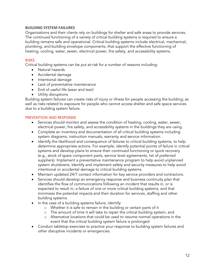#### <span id="page-13-0"></span>**BUILDING SYSTEM FAILURES**

Organizations and their clients rely on buildings for shelter and safe areas to provide services. The continued functioning of a variety of critical building systems is required to ensure a building remains safe and operational. Critical building systems include electrical, mechanical, plumbing, and building envelope components, that support the effective functioning of heating, cooling, water, sewer, electrical power, fire safety, and accessibility systems.

#### **RISKS**

Critical building systems can be put at-risk for a number of reasons including:

- Natural hazards
- Accidental damage
- Intentional damage
- Lack of preventative maintenance
- End of useful life (wear and tear)
- Utility disruptions

Building system failures can create risks of injury or illness for people accessing the building; as well as risks related to exposure for people who cannot access shelter and safe space services due to a building system failure.

- Services should monitor and assess the condition of heating, cooling, water, sewer, electrical power, fire safety, and accessibility systems in the buildings they are using.
- Complete an inventory and documentation of all critical building systems including system diagrams, instruction manuals, warranty and service information.
- Identify the likelihood and consequence of failures to critical building systems, to help determine appropriate actions. For example, identify potential points of failure in critical systems and develop plans to ensure their continued functioning or quick recovery (e.g., stock of spare component parts, service level agreements, list of preferred suppliers). Implement a preventative maintenance program to help avoid unplanned system shutdowns. Identify and implement safety and security measures to help avoid intentional or accidental damage to critical building systems.
- Maintain updated 24/7 contact information for key service providers and contractors.
- Services should develop an emergency response and business continuity plan that identifies the flow of communications following an incident that results in, or is expected to result in, a failure of one or more critical building systems; and that minimizes the potential impacts and their duration for services, staffing and other building systems.
- In the case of a building systems failure, identify:
	- o Whether it is safe to remain in the building or certain parts of it
	- o The amount of time it will take to repair the critical building system, and
	- o Alternative locations that could be used to resume normal operations in the event that the critical building system failure is prolonged
- Conduct tabletop exercises to practice your response to building system failures and other disruptive incidents or emergencies.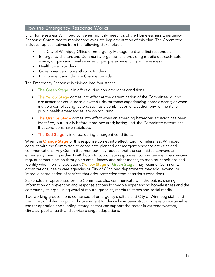# <span id="page-14-0"></span>How the Emergency Response Works

End Homelessness Winnipeg convenes monthly meetings of the Homelessness Emergency Response Committee to monitor and evaluate implementation of this plan. The Committee includes representatives from the following stakeholders:

- The City of Winnipeg Office of Emergency Management and first responders
- Emergency shelters and Community organizations providing mobile outreach, safe space, drop-in and meal services to people experiencing homelessness
- Health care providers
- Government and philanthropic funders
- Environment and Climate Change Canada

The Emergency Response is divided into four stages:

- The Green Stage is in effect during non-emergent conditions.
- The Yellow Stage comes into effect at the determination of the Committee, during circumstances could pose elevated risks for those experiencing homelessness; or when multiple complicating factors, such as a combination of weather, environmental or public health emergencies, are co-occurring.
- The Orange Stage comes into effect when an emerging hazardous situation has been identified, but usually before it has occurred; lasting until the Committee determines that conditions have stabilized.
- The Red Stage is in effect during emergent conditions.

When the Orange Stage of this response comes into effect, End Homelessness Winnipeg consults with the Committee to coordinate planned or emergent response activities and communications. Any Committee member may request that the committee convene an emergency meeting within 12-48 hours to coordinate responses. Committee members sustain regular communication through an email listserv and other means, to monitor conditions and identify when normal operations (Yellow Stage or Green Stage) may resume. Community organizations, health care agencies or City of Winnipeg departments may add, extend, or improve coordination of services that offer protection from hazardous conditions.

Stakeholders represented on the Committee also communicate with the public, sharing information on prevention and response actions for people experiencing homelessness and the community at large, using word of mouth, graphics, media relations and social media.

Two working groups – one comprised of emergency shelters and City of Winnipeg staff, and the other, of philanthropic and government funders – have been struck to develop sustainable shelter operation and funding strategies that can support the sector in extreme weather, climate, public health and service change adaptations.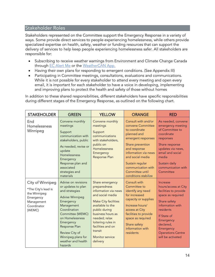# <span id="page-15-0"></span>Stakeholder Roles

Stakeholders represented on the Committee support the Emergency Response in a variety of ways. Some provide direct services to people experiencing homelessness, while others provide specialized expertise on health, safety, weather or funding resources that can support the delivery of services to help keep people experiencing homelessness safer. All stakeholders are responsible for:

- Subscribing to receive weather warnings from Environment and Climate Change Canada through [EC Alert Me](https://ecalertme.weather.gc.ca/) or the [WeatherCAN App.](https://www.canada.ca/en/environment-climate-change/services/weather-general-tools-resources/weathercan.html)
- Having their own plans for responding to emergent conditions. (See Appendix III)
- Participating in Committee meetings, consultations, evaluations and communications. While it is not possible for every stakeholder to attend every meeting and open every email, it is important for each stakeholder to have a voice in developing, implementing and improving plans to protect the health and safety of those without homes

In addition to these shared responsibilities, different stakeholders have specific responsibilities during different stages of the Emergency Response, as outlined on the following chart.

| <b>STAKEHOLDER</b>                                                                                          | <b>GREEN</b>                                                                                                                                                                                                                                                                   | <b>YELLOW</b>                                                                                                                                                                                                                                                              | <b>ORANGE</b>                                                                                                                                                                                                                                                      | <b>RED</b>                                                                                                                                                                                                                             |
|-------------------------------------------------------------------------------------------------------------|--------------------------------------------------------------------------------------------------------------------------------------------------------------------------------------------------------------------------------------------------------------------------------|----------------------------------------------------------------------------------------------------------------------------------------------------------------------------------------------------------------------------------------------------------------------------|--------------------------------------------------------------------------------------------------------------------------------------------------------------------------------------------------------------------------------------------------------------------|----------------------------------------------------------------------------------------------------------------------------------------------------------------------------------------------------------------------------------------|
| End<br>Homelessness<br>Winnipeg                                                                             | Convene monthly<br>meetings<br>Support<br>communication with<br>stakeholders, public<br>As needed, revise or<br>update<br>Homelessness<br>Emergency<br>Response plan and<br>associated<br>strategies and<br>materials                                                          | Convene monthly<br>meetings<br>Support<br>communications<br>with stakeholders,<br>public on<br>Homelessness<br>Emergency<br><b>Response Plan</b>                                                                                                                           | Consult with and/or<br>convene Committee<br>to coordinate<br>planned and<br>emergent responses<br>Share prevention<br>and response<br>information via news<br>and social media<br>Sustain regular<br>communication with<br>Committee until<br>conditions stabilize | As needed, convene<br>emergency meeting<br>of Committee to<br>coordinate<br>responses<br>Share response<br>updates via news,<br>email and social<br>media<br>Sustain daily<br>communication with<br>Committee                          |
| City of Winnipeg<br>*The City's lead is<br>the Winnipeg<br>Emergency<br>Management<br>Coordinator<br>(WEMC) | Advise on revisions<br>or updates to plan<br>and strategies<br><b>Advise Winnipeg</b><br>Emergency<br>Management<br>Coordination<br>Committee (WEMC)<br>on Homelessness<br>Emergency<br>Response Plan<br>Review City of<br>Winnipeg plans for<br>weather and health<br>hazards | Share emergency<br>preparedness<br>information via news<br>and social media<br><b>Make City facilities</b><br>available to the<br>public during<br>business hours as<br>needed; relax<br>loitering rules in<br>facilities and on<br>transit<br>Monitor service<br>delivery | Consult with<br>Committee to<br>identify any need<br>for increased<br>capacity or supplies<br>Increase hours/<br>access at City<br>facilities to provide<br>space as required<br>Share safety<br>information with<br>residents                                     | Increase<br>hours/access at City<br>facilities to provide<br>space as required<br>Share safety<br>information with<br>residents<br>If State of<br>Emergency<br>declared,<br>Emergency<br><b>Operations Centre</b><br>will be activated |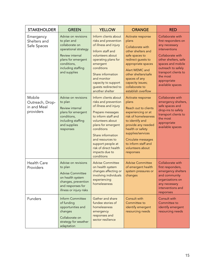| <b>STAKEHOLDER</b>                                    | <b>GREEN</b>                                                                                                                                                               | <b>YELLOW</b>                                                                                                                                                                                                                                                                                   | <b>ORANGE</b>                                                                                                                                                                                                                                                    | <b>RED</b>                                                                                                                                                                                                                              |
|-------------------------------------------------------|----------------------------------------------------------------------------------------------------------------------------------------------------------------------------|-------------------------------------------------------------------------------------------------------------------------------------------------------------------------------------------------------------------------------------------------------------------------------------------------|------------------------------------------------------------------------------------------------------------------------------------------------------------------------------------------------------------------------------------------------------------------|-----------------------------------------------------------------------------------------------------------------------------------------------------------------------------------------------------------------------------------------|
| Emergency<br>Shelters and<br>Safe Spaces              | Advise on revisions<br>to plan and<br>collaborate on<br>operational strategy<br>Review internal<br>plans for emergent<br>conditions,<br>including staffing<br>and supplies | Inform clients about<br>risks and prevention<br>of illness and injury<br>Inform staff and<br>volunteers about<br>operating plans for<br>emergent<br>conditions<br>Share information<br>and monitor<br>capacity to support<br>guests redirected to<br>another shelter                            | Activate response<br>plans<br>Collaborate with<br>other shelters and<br>safe spaces to<br>redirect guests to<br>appropriate spaces<br>Alert WEMC and<br>other shelters/safe<br>spaces of any<br>capacity issues;<br>collaborate to<br>establish overflow         | Collaborate with<br>first responders on<br>any necessary<br>interventions<br>Collaborate with<br>other shelters, safe<br>spaces and mobile<br>outreach to safely<br>transport clients to<br>the most<br>appropriate<br>available spaces |
| Mobile<br>Outreach, Drop-<br>in and Meal<br>providers | Advise on revisions<br>to plan<br>Review internal<br>plans for emergent<br>conditions,<br>including staffing<br>and supplies<br>responses                                  | Inform clients about<br>risks and prevention<br>of illness and injury<br>Prepare messages<br>to inform staff and<br>volunteers about<br>plans for emergent<br>conditions<br>Share information<br>and resources to<br>support people at<br>risk of direct health<br>impacts due to<br>conditions | Activate response<br>plans<br>Reach out to clients<br>experiencing or at<br>risk of homelessness<br>to identify and<br>provide any needed<br>health or safety<br>supplies/services<br>Circulate messages<br>to inform staff and<br>volunteers about<br>responses | Collaborate with<br>emergency shelters,<br>safe spaces and<br>drop-ins to safely<br>transport clients to<br>the most<br>appropriate<br>available spaces                                                                                 |
| <b>Health Care</b><br>Providers                       | Advise on revisions<br>to plan<br><b>Advise Committee</b><br>on health system<br>changes, prevention<br>and responses for<br>illness or injury risks                       | <b>Advise Committee</b><br>on health system<br>changes affecting or<br>involving individuals<br>experiencing<br>homelessness                                                                                                                                                                    | <b>Advise Committee</b><br>of emergent health<br>system pressures or<br>changes                                                                                                                                                                                  | Collaborate with<br>first responders,<br>emergency shelters<br>and community<br>organizations on<br>any necessary<br>interventions and<br>responses                                                                                     |
| Funders                                               | <b>Inform Committee</b><br>of funding<br>opportunities and<br>changes<br>Collaborate on<br>strategy for weather<br>adaptation                                              | Gather and share<br>fundee stories of<br>homelessness<br>emergency<br>responses and<br>sector resilience                                                                                                                                                                                        | Consult with<br>Committee to<br>identify emergent<br>resourcing needs                                                                                                                                                                                            | Consult with<br>Committee to<br>identify emergent<br>resourcing needs                                                                                                                                                                   |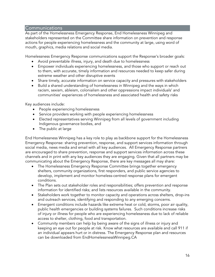#### <span id="page-17-0"></span>Communications

As part of the Homelessness Emergency Response, End Homelessness Winnipeg and stakeholders represented on the Committee share information on prevention and response actions for people experiencing homelessness and the community at large, using word of mouth, graphics, media relations and social media.

Homelessness Emergency Response communications support the Response's broader goals:

- Avoid preventable illness, injury, and death due to homelessness
- Empower individuals experiencing homelessness, and those who support or reach out to them, with accurate, timely information and resources needed to keep safer during extreme weather and other disruptive events
- Share timely, accurate information on service capacity and pressures with stakeholders
- Build a shared understanding of homelessness in Winnipeg and the ways in which racism, sexism, ableism, colonialism and other oppressions impact individuals' and communities' experiences of homelessness and associated health and safety risks

Key audiences include:

- People experiencing homelessness
- Service providers working with people experiencing homelessness
- Elected representatives serving Winnipeg from all levels of government including Indigenous governance bodies, and
- The public at large

End Homelessness Winnipeg has a key role to play as backbone support for the Homelessness Emergency Response: sharing prevention, response, and support services information through social media, news media and email with all key audiences. All Emergency Response partners are encouraged to share prevention, response and support services information across these channels and in print with any key audiences they are engaging. Given that all partners may be communicating about the Emergency Response, there are key messages all may share:

- The Homelessness Emergency Response Committee brings together emergency shelters, community organizations, first responders, and public service agencies to develop, implement and monitor homeless-centred response plans for emergent conditions.
- The Plan sets out stakeholder roles and responsibilities; offers prevention and response information for identified risks; and lists resources available in the community.
- Stakeholders work together to monitor capacity and operations across shelters, drop-ins and outreach services, identifying and responding to any emerging concerns.
- Emergent conditions include hazards like extreme heat or cold, storms, poor air quality, public health emergencies or building systems failures. Such conditions increase risks of injury or illness for people who are experiencing homelessness due to lack of reliable access to shelter, clothing, food and transportation.
- Community members can help by being aware of the signs of illness or injury and keeping an eye out for people at risk. Know what resources are available and call 911 if an individual appears hurt or in distress. The Emergency Response plan and resources can be downloaded from EndHomelessnessWinnipeg.CA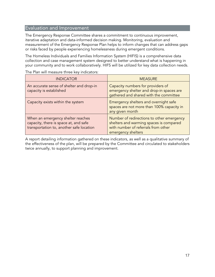# <span id="page-18-0"></span>Evaluation and Improvement

The Emergency Response Committee shares a commitment to continuous improvement, iterative adaptation and data-informed decision making. Monitoring, evaluation and measurement of the Emergency Response Plan helps to inform changes that can address gaps or risks faced by people experiencing homelessness during emergent conditions.

The Homeless Individuals and Families Information System (HIFIS) is a comprehensive data collection and case management system designed to better understand what is happening in your community and to work collaboratively. HIFS will be utilized for key data collection needs.

| <b>INDICATOR</b>                                                                                                       | <b>MEASURE</b>                                                                                                                                    |
|------------------------------------------------------------------------------------------------------------------------|---------------------------------------------------------------------------------------------------------------------------------------------------|
| An accurate sense of shelter and drop-in<br>capacity is established                                                    | Capacity numbers for providers of<br>emergency shelter and drop-in spaces are<br>gathered and shared with the committee                           |
| Capacity exists within the system                                                                                      | Emergency shelters and overnight safe<br>spaces are not more than 100% capacity in<br>any given month                                             |
| When an emergency shelter reaches<br>capacity, there is space at, and safe<br>transportation to, another safe location | Number of redirections to other emergency<br>shelters and warming spaces is compared<br>with number of referrals from other<br>emergency shelters |

The Plan will measure three key indicators:

A report detailing information gathered on these indicators, as well as a qualitative summary of the effectiveness of the plan, will be prepared by the Committee and circulated to stakeholders twice annually, to support planning and improvement.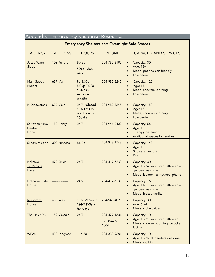<span id="page-19-0"></span>

|                                            | Appendix I: Emergency Response Resources |                                                            |                                    |                                                                                                                                                     |
|--------------------------------------------|------------------------------------------|------------------------------------------------------------|------------------------------------|-----------------------------------------------------------------------------------------------------------------------------------------------------|
|                                            |                                          |                                                            |                                    | <b>Emergency Shelters and Overnight Safe Spaces</b>                                                                                                 |
| <b>AGENCY</b>                              | <b>ADDRESS</b>                           | <b>HOURS</b>                                               | <b>PHONE</b>                       | <b>CAPACITY AND SERVICES</b>                                                                                                                        |
| Just a Warm<br>Sleep                       | 109 Pulford                              | $8p-8a$<br>*Dec.-Mar.<br>only                              | 204-782-3195                       | Capacity: 30<br>$\bullet$<br>Age: 18+<br>$\bullet$<br>Meals, pet and cart friendly<br>Low barrier                                                   |
| <b>Main Street</b><br>Project              | 637 Main                                 | 9a-3:30p;<br>5:30p-7:30a<br>*24/7 in<br>extreme<br>weather | 204-982-8245                       | Capacity: 120<br>$\bullet$<br>Age: 18+<br>$\bullet$<br>Meals, showers, clothing<br>$\bullet$<br>Low barrier                                         |
| N'Dinawemak                                | 637 Main                                 | 24/7 *Closed<br>10a-12:30p;<br>no drop-ins<br>$10p-7a$     | 204-982-8245                       | Capacity: 150<br>$\bullet$<br>Age: 18+<br>$\bullet$<br>Meals, showers, clothing<br>$\bullet$<br>Low barrier<br>$\bullet$                            |
| <b>Salvation Army</b><br>Centre of<br>Hope | 180 Henry                                | 24/7                                                       | 204-946-9402                       | Capacity: 56<br>$\bullet$<br>Age: 18+<br>$\bullet$<br>Therapy-pet friendly<br>$\bullet$<br>Additional spaces for families<br>$\bullet$              |
| <b>Siloam Mission</b>                      | <b>300 Princess</b>                      | 8p-7a                                                      | 204-943-1748                       | Capacity: 143<br>$\bullet$<br>Age: 18+<br>$\bullet$<br>Showers, laundry<br>$\bullet$<br>Dry<br>$\bullet$                                            |
| Ndinawe:<br>Tina's Safe<br>Haven           | 472 Selkirk                              | 24/7                                                       | 204-417-7233                       | Capacity: 30<br>$\bullet$<br>Age: 13-24, youth can self-refer, all<br>$\bullet$<br>genders welcome<br>Meals, laundry, computers, phone<br>$\bullet$ |
| Ndinawe: Safe<br>House                     |                                          | 24/7                                                       | 204-417-7233                       | Capacity: 16<br>$\bullet$<br>Age: 11-17, youth can self-refer, all<br>genders welcome<br>Meals, locked facility<br>$\bullet$                        |
| Rossbrook<br>House                         | 658 Ross                                 | 10a-12a Su-Th<br>*24/7 F-Sa +<br>holidays                  | 204-949-4090                       | Capacity: 30<br>$\bullet$<br>Age: 6-24<br>$\bullet$<br>Meals and activities<br>$\bullet$                                                            |
| The Link YRC                               | 159 Mayfair                              | 24/7                                                       | 204-477-1804<br>1-888-477-<br>1804 | Capacity: 10<br>$\bullet$<br>Age: 12-21, youth can self-refer<br>$\bullet$<br>Meals, showers, clothing, unlocked<br>$\bullet$<br>facility           |
| <b>WE24</b>                                | 430 Langside                             | $11p-7a$                                                   | 204-333-9681                       | Capacity: 10<br>$\bullet$<br>Age: 13-26, all genders welcome<br>$\bullet$<br>Meals, clothing<br>$\bullet$                                           |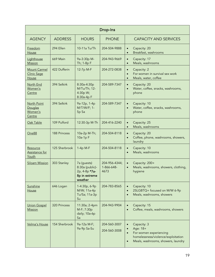| Drop-Ins                                           |                     |                                                                             |                                     |                                                                                                                                                                      |
|----------------------------------------------------|---------------------|-----------------------------------------------------------------------------|-------------------------------------|----------------------------------------------------------------------------------------------------------------------------------------------------------------------|
| <b>AGENCY</b>                                      | <b>ADDRESS</b>      | <b>HOURS</b>                                                                | <b>PHONE</b>                        | <b>CAPACITY AND SERVICES</b>                                                                                                                                         |
| <b>Freedom</b><br>House                            | 294 Ellen           | 10-11a Tu/Th                                                                | 204-504-9888                        | Capacity: 20<br>$\bullet$<br>Breakfast, washrooms<br>$\bullet$                                                                                                       |
| Lighthouse<br><b>Mission</b>                       | <b>669 Main</b>     | 9a-3:30p M-<br>Th; 1-8p F                                                   | 204-943-9669                        | Capacity: 17<br>$\bullet$<br>Meals, washrooms<br>$\bullet$                                                                                                           |
| <b>Mount Carmel</b><br><b>Clinic Sage</b><br>House | 422 Dufferin        | 12-7p M-F                                                                   | 204-272-0838                        | Capacity: 2<br>$\bullet$<br>For women in survival sex work<br>$\bullet$<br>Meals, water, coffee<br>$\bullet$                                                         |
| North End<br>Women's<br>Centre                     | 394 Selkirk         | 8:30a-4:30p<br>M/Tu/Th; 12-<br>4:30p W;<br>8:30a-4p F                       | 204-589-7347                        | Capacity: 20<br>$\bullet$<br>Water, coffee, snacks, washrooms,<br>$\bullet$<br>phone                                                                                 |
| North Point<br>Douglas<br>Women's<br>Centre        | 394 Selkirk         | 9a-12p, 1-4p<br>M/T/W/F; 1-<br>5p Sa                                        | 204-589-7347                        | Capacity: 10<br>$\bullet$<br>Water, coffee, snacks, washrooms,<br>$\bullet$<br>phone                                                                                 |
| Oak Table                                          | 109 Pulford         | 12:30-3p M-Th                                                               | 204-416-2240                        | Capacity: 25<br>$\bullet$<br>Meals, washrooms<br>$\bullet$                                                                                                           |
| <b>One88</b>                                       | <b>188 Princess</b> | 10a-2p M-Th;<br>10a-1p F                                                    | 204-504-8118                        | Capacity: 20<br>$\bullet$<br>Coffee, phone, washrooms, showers,<br>$\bullet$<br>laundry                                                                              |
| Resource<br><b>Assistance for</b><br>Youth         | 125 Sherbrook       | 1-4p M-F                                                                    | 204-504-8118                        | Capacity: 10<br>$\bullet$<br>Meals, washrooms<br>$\bullet$                                                                                                           |
| <b>Siloam Mission</b>                              | 303 Stanley         | 7a (guests)<br>8:30a (public)-<br>2p, 4-8p *7a-<br>8p in extreme<br>weather | 204-956-4344;<br>1-866-648-<br>4673 | Capacity: 200+<br>$\bullet$<br>Meals, washrooms, showers, clothing,<br>$\bullet$<br>hygiene                                                                          |
| Sunshine<br>House                                  | 646 Logan           | 1-4:30p, 6-9p<br>M/W; 11a-4p<br>Tu/Sa; 11a-3p<br>Su                         | 204-783-8565                        | Capacity: 10<br>$\bullet$<br>2SLGBTQ+ focused on M/W 6-9p<br>$\bullet$<br>Meals, washrooms, showers<br>$\bullet$                                                     |
| <b>Union Gospel</b><br><b>Mission</b>              | 320 Princess        | 11:30a; 2-4pm<br>M-F; 7:30p<br>daily; 10a-6p<br>Sa                          | 204-943-9904                        | Capacity: 15<br>$\bullet$<br>Coffee, meals, washrooms, showers<br>$\bullet$                                                                                          |
| Velma's House                                      | 154 Sherbrook       | 9a-12a M-F;<br>9a-9p Sa-Su                                                  | 204-560-3007<br>204-560-3008        | Capacity: 3<br>$\bullet$<br>Age: 18+<br>For women experiencing<br>$\bullet$<br>homelessness/violence/exploitation<br>Meals, washrooms, showers, laundry<br>$\bullet$ |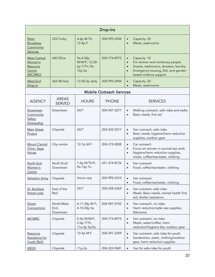| Drop-Ins                                                        |                                |                                                     |                                 |                                                                                                                                                                                                            |
|-----------------------------------------------------------------|--------------------------------|-----------------------------------------------------|---------------------------------|------------------------------------------------------------------------------------------------------------------------------------------------------------------------------------------------------------|
| West<br>Broadway<br>Community<br><b>Services</b>                | 222 Furby                      | 4-6p M-Th;<br>12-4p F                               | 204-995-2944                    | Capacity: 20<br>$\bullet$<br>Meals, washrooms                                                                                                                                                              |
| <b>West Central</b><br>Women's<br>Resource<br>Centre<br>(WCWRC) | 640 Ellice                     | 9a-4:30p<br>M/W/F; 12:30-<br>6p T/Th; 9a-<br>12p Sa | 204-774-8975                    | Capacity: 10<br>$\bullet$<br>For women and nonbinary people<br>$\bullet$<br>Snacks, washrooms, showers, laundry<br>$\bullet$<br>Emergency housing, EIA, and gender-<br>$\bullet$<br>based violence support |
| <b>West End</b><br>Drop-in                                      | 365 McGee                      | 12:30-3p daily                                      | 204-995-2944                    | Capacity: 20<br>$\bullet$<br>Meals, washrooms<br>$\bullet$                                                                                                                                                 |
|                                                                 |                                |                                                     | <b>Mobile Outreach Services</b> |                                                                                                                                                                                                            |
| <b>AGENCY</b>                                                   | <b>AREAS</b><br><b>SERVED</b>  | <b>HOURS</b>                                        | <b>PHONE</b>                    | <b>SERVICES</b>                                                                                                                                                                                            |
| Downtown<br>Community<br><u>Safety</u><br>Partnership           | Downtown                       | 24/7                                                | 204-947-3277                    | Walking outreach, safe rides and walks<br>$\bullet$<br>Basic needs, first aid<br>$\bullet$                                                                                                                 |
| <b>Main Street</b><br>Project                                   | Citywide                       | 24/7                                                | 204-232-5217                    | Van outreach, safe rides<br>$\bullet$<br>Basic needs, hygiene/harm reduction<br>$\bullet$<br>supplies, outdoor gear                                                                                        |
| Mount Carmel<br>Clinic: Sage<br>House                           | City centre                    | 12-7p M-F                                           | 204-272-0838                    | Car outreach<br>$\bullet$<br>Focus on women in survival sex work<br>$\bullet$<br>Hygiene/harm reduction supplies,<br>$\bullet$<br>meals, coffee/tea/water, clothing                                        |
| North End<br>Women's<br>Centre                                  | North End/<br>Downtown         | 1-4p M/Th/F;<br>9a-12p Tu                           | 431-374-8726                    | Van outreach<br>$\bullet$<br>Food, coffee/tea/water, clothing<br>$\bullet$                                                                                                                                 |
| <b>Salvation Army</b>                                           | Citywide                       | Hours vary                                          | 204-995-2410                    | Van outreach<br>$\bullet$<br>Food, coffee/tea/water, clothing<br>$\bullet$                                                                                                                                 |
| St. Boniface<br><b>Street Links</b>                             | East of the<br>Red             | 24/7                                                | 204-228-2369                    | Van outreach, safe rides<br>$\bullet$<br>Meals, Basic needs, mental health first<br>$\bullet$<br>aid, shelter assistance                                                                                   |
| <b>Street</b><br>Connections                                    | North/West<br>End,<br>Downtown | 6-11:30p M-F;<br>4-10:30p Sa                        | 204-981-0742                    | Van outreach, no rides<br>$\bullet$<br>Harm reduction/safer sex supplies;<br>$\bullet$<br>Naloxone                                                                                                         |
| <b>WCWRC</b>                                                    | Citywide                       | 5-9p M/W/F;<br>2-6p T/Th;<br>11a-3p Sa/Su           | 204-774-8975                    | Van outreach, no rides<br>$\bullet$<br>Meals, water/coffee; harm<br>$\bullet$<br>reduction/hygiene kits, outdoor gear                                                                                      |
| Resource<br>Assistance for<br>Youth (RaY)                       | Citywide                       | 12-4p M-F                                           | 204-391-2209                    | Van outreach, safe rides for youth<br>$\bullet$<br>Sandwiches, water, clothing/outdoor<br>$\bullet$<br>gear, harm reduction supplies                                                                       |
| <b>WE24</b>                                                     | Citywide                       | $11p-2a$                                            | 204-333-9681                    | Van for safe rides for youth<br>$\bullet$                                                                                                                                                                  |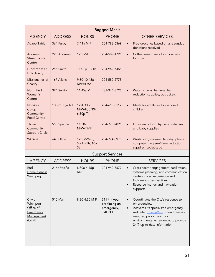| <b>Bagged Meals</b>                                                  |                |                                      |                                                         |                                                                                                                                                                                                                                                                        |  |
|----------------------------------------------------------------------|----------------|--------------------------------------|---------------------------------------------------------|------------------------------------------------------------------------------------------------------------------------------------------------------------------------------------------------------------------------------------------------------------------------|--|
| <b>AGENCY</b>                                                        | <b>ADDRESS</b> | <b>HOURS</b>                         | <b>PHONE</b>                                            | <b>OTHER SERVICES</b>                                                                                                                                                                                                                                                  |  |
| Agape Table                                                          | 364 Furby      | 7-11a M-F                            | 204-783-6369                                            | Free groceries based on any surplus<br>$\bullet$<br>donations received                                                                                                                                                                                                 |  |
| Andrews<br><b>Street Family</b><br>Centre                            | 220 Andrews    | 12p M-F                              | 204-589-1721                                            | Coffee, emergency food, diapers,<br>$\bullet$<br>formula                                                                                                                                                                                                               |  |
| Lunchroom at<br><b>Holy Trinity</b>                                  | 256 Smith      | 11a-1p Tu/Th                         | 204-942-7465                                            |                                                                                                                                                                                                                                                                        |  |
| Missionaries of<br>Charity                                           | 167 Aikins     | 9:30-10:45a<br>M/W/F/Sa              | 204-582-2773                                            |                                                                                                                                                                                                                                                                        |  |
| North End<br>Women's<br>Centre                                       | 394 Selkirk    | 11:45a M                             | 431-374-8726                                            | Water, snacks, hygiene, harm<br>$\bullet$<br>reduction supplies, bus tickets                                                                                                                                                                                           |  |
| <b>NorWest</b><br>Co-op<br>Community<br><b>Food Centre</b>           | 103-61 Tyndall | 12-1:30p<br>M/W/F; 5:30-<br>6:30p Th | 204-615-3117                                            | Meals for adults and supervised<br>$\bullet$<br>children                                                                                                                                                                                                               |  |
| Thrive<br>Community<br><b>Support Circle</b>                         | 555 Spence     | 11:30a<br>M/W/Th/F                   | 204-775-9091                                            | Emergency food, hygiene, safer sex<br>$\bullet$<br>and baby supplies                                                                                                                                                                                                   |  |
| <b>WCWRC</b>                                                         | 640 Ellice     | 12p M/W/F;<br>5p Tu/Th; 10a<br>Sa    | 204-774-8975                                            | Washroom, showers, laundry, phone,<br>$\bullet$<br>computer, hygiene/harm reduction<br>supplies, cedar/sage                                                                                                                                                            |  |
|                                                                      |                |                                      | <b>Support Services</b>                                 |                                                                                                                                                                                                                                                                        |  |
| <b>AGENCY</b>                                                        | <b>ADDRESS</b> | <b>HOURS</b>                         | <b>PHONE</b>                                            | <b>SERVICES</b>                                                                                                                                                                                                                                                        |  |
| End<br>Homelessness<br>Winnipeg                                      | 216c Pacific   | 8:30a-4:45p<br>$M-F$                 | 204-942-8677                                            | Cross-sector engagement, facilitation,<br>$\bullet$<br>systems planning, and communication<br>centring lived experience and<br>Indigenous perspectives<br>Resource listings and navigation<br>$\bullet$<br>supports                                                    |  |
| City of<br>Winnipeg<br>Office of<br>Emergency<br>Management<br>(OEM) | 510 Main       | 8:30-4:30 M-F                        | 311 * If you<br>are facing an<br>emergency,<br>call 911 | Coordinates the City's response to<br>$\bullet$<br>emergencies.<br>Activates its specialized emergency<br>$\bullet$<br>web site, <b>EmergWeb</b> , when there is a<br>weather, public health or<br>environmental emergency, to provide<br>24/7 up-to-date information. |  |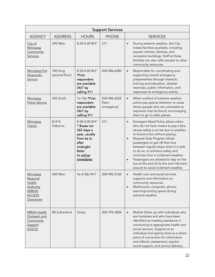|                                                                                           | <b>Support Services</b>    |                                                                                                                                     |                                     |                                                                                                                                                                                                                                                                                                                                                                                                                                                                                                                |  |  |
|-------------------------------------------------------------------------------------------|----------------------------|-------------------------------------------------------------------------------------------------------------------------------------|-------------------------------------|----------------------------------------------------------------------------------------------------------------------------------------------------------------------------------------------------------------------------------------------------------------------------------------------------------------------------------------------------------------------------------------------------------------------------------------------------------------------------------------------------------------|--|--|
| <b>AGENCY</b>                                                                             | <b>ADDRESS</b>             | <b>HOURS</b>                                                                                                                        | <b>PHONE</b>                        | <b>SERVICES</b>                                                                                                                                                                                                                                                                                                                                                                                                                                                                                                |  |  |
| City of<br>Winnipeg<br>Community<br>Services                                              | 395 Main                   | 8:30-4:30 M-F                                                                                                                       | 311                                 | During extreme weather, the City<br>$\bullet$<br>makes facilities available, including<br>aquatic centres, libraries, and<br>recreation buildings. Staff at these<br>facilities can also refer people to other<br>community resources.                                                                                                                                                                                                                                                                         |  |  |
| <b>Winnipeg Fire</b><br>Paramedic<br>Service                                              | 185 King<br>(second floor) | 8:30-4:30 M-F<br>*First<br>responders<br>are available<br>24/7 by<br>calling 911                                                    | 204-986-6380                        | Responsible for coordinating and<br>$\bullet$<br>supporting overall emergency<br>preparedness through research,<br>training and education, disaster<br>exercises, public information, and<br>responses to emergency events.                                                                                                                                                                                                                                                                                    |  |  |
| Winnipeg<br>Police Service                                                                | 245 Smith                  | 7a-10p *First<br>responders<br>are available<br>24/7 by<br>calling 911                                                              | 204-986-6222<br>(Non-<br>emergency) | When notified of extreme weather,<br>$\bullet$<br>police pay special attention to areas<br>where people who are vulnerable to<br>exposure may be found, encouraging<br>them to go to safer places.                                                                                                                                                                                                                                                                                                             |  |  |
| Winnipeg<br>Transit                                                                       | B-414<br>Osborne           | 8:30-4:30 M-F<br>* Buses run<br>365 days a<br>year, usually<br>from 6a to<br>after<br>midnight.<br>Refer<br>to online<br>timetables | 311                                 | Emergent Need Policy allows riders<br>$\bullet$<br>who do not have means to pay a fare,<br>whose safety is at risk due to weather,<br>to board a bus without paying.<br>Request Stop Program allows<br>$\bullet$<br>passengers to get off their bus<br>between regular stops when it is safe<br>to do so, to enhance safety and<br>minimize time in inclement weather.<br>Passengers are allowed to stay on the<br>$\bullet$<br>bus at the end of its line and ride back<br>around to avoid inclement weather. |  |  |
| Winnipeg<br>Regional<br>Health<br><u>Authority</u><br>(WRHA)<br><b>ACCESS</b><br>Downtown | 640 Main                   | 9a-4:30p M-F                                                                                                                        | 204-940-3160                        | Health care and social services<br>supports and information on<br>community resources<br>Washrooms, computer, phone;<br>warming/cooling space during<br>extreme weather                                                                                                                                                                                                                                                                                                                                        |  |  |
| <b>WRHA Health</b><br>Outreach and<br>Community<br>Support<br>(HOCS)                      | 80 Sutherland              | Varies                                                                                                                              | 204-794-3804                        | Mobile follow up with individuals who<br>$\bullet$<br>are homeless and who have been<br>identified as needing assistance in<br>connecting to appropriate health and<br>social services. Support at an<br>individual and agency level as a direct<br>point of connection for information<br>and referral, assessment, psycho-<br>social support, and service delivery.                                                                                                                                          |  |  |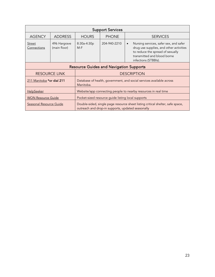| <b>Support Services</b>                        |                                                                                                                                                                |                                                                |              |                                                                                                                                                                                           |  |
|------------------------------------------------|----------------------------------------------------------------------------------------------------------------------------------------------------------------|----------------------------------------------------------------|--------------|-------------------------------------------------------------------------------------------------------------------------------------------------------------------------------------------|--|
| <b>AGENCY</b>                                  | <b>ADDRESS</b>                                                                                                                                                 | <b>HOURS</b>                                                   | <b>PHONE</b> | <b>SERVICES</b>                                                                                                                                                                           |  |
| <b>Street</b><br>Connections                   | 496 Hargrave<br>(main floor)                                                                                                                                   | 8:30a-4:30p<br>$M-F$                                           | 204-940-2210 | Nursing services, safer sex, and safer<br>$\bullet$<br>drug use supplies, and other activities<br>to reduce the spread of sexually<br>transmitted and blood borne<br>infections (STBBIs). |  |
| <b>Resource Guides and Navigation Supports</b> |                                                                                                                                                                |                                                                |              |                                                                                                                                                                                           |  |
|                                                | <b>RESOURCE LINK</b>                                                                                                                                           |                                                                |              | <b>DESCRIPTION</b>                                                                                                                                                                        |  |
| 211 Manitoba *or dial 211                      | Database of health, government, and social services available across<br>Manitoba.                                                                              |                                                                |              |                                                                                                                                                                                           |  |
| <b>HelpSeeker</b>                              |                                                                                                                                                                | Website/app connecting people to nearby resources in real time |              |                                                                                                                                                                                           |  |
| <b>WON Resource Guide</b>                      |                                                                                                                                                                | Pocket-sized resource guide listing local supports             |              |                                                                                                                                                                                           |  |
|                                                | Seasonal Resource Guide<br>Double-sided, single page resource sheet listing critical shelter, safe space,<br>outreach and drop-in supports, updated seasonally |                                                                |              |                                                                                                                                                                                           |  |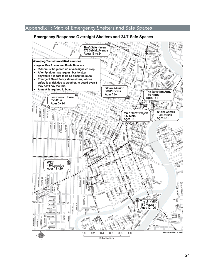# <span id="page-25-0"></span>Appendix II: Map of Emergency Shelters and Safe Spaces

#### **Emergency Response Overnight Shelters and 24/7 Safe Spaces**

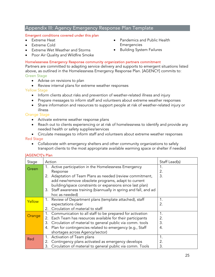# <span id="page-26-0"></span>Appendix III: Agency Emergency Response Plan Template

#### Emergent conditions covered under this plan

- Extreme Heat
- Extreme Cold
- Extreme Wet Weather and Storms
- Poor Air Quality and Wildfire Smoke
- Pandemics and Public Health Emergencies
- Building System Failures

#### Homelessness Emergency Response community organization partners commitment

Partners are committed to adapting service delivery and supports to emergent situations listed above, as outlined in the Homelessness Emergency Response Plan. [AGENCY] commits to: Green Stage

- Advise on revisions to plan
- Review internal plans for extreme weather responses

#### Yellow Stage

- Inform clients about risks and prevention of weather-related illness and injury
- Prepare messages to inform staff and volunteers about extreme weather responses
- Share information and resources to support people at risk of weather-related injury or illness

#### Orange Stage

- Activate extreme weather response plans
- Reach out to clients experiencing or at risk of homelessness to identify and provide any needed health or safety supplies/services

• Circulate messages to inform staff and volunteers about extreme weather responses Red Stage

• Collaborate with emergency shelters and other community organizations to safely transport clients to the most appropriate available warming space or shelter if needed

#### [AGENCY]'s Plan

| Stage  | Action                                                             | Staff Lead(s) |
|--------|--------------------------------------------------------------------|---------------|
| Green  | 1. Active participation in the Homelessness Emergency              |               |
|        | Response                                                           | 2.            |
|        | 2. Adaptation of Team Plans as needed (review commitment,          | 3.            |
|        | add new/remove obsolete programs, adapt to current                 |               |
|        | building/space constraints or expansions since last plan)          |               |
|        | 3. Staff awareness training (biannually in spring and fall, and ad |               |
|        | hoc as needed)                                                     |               |
| Yellow | 1. Review of Department plans (template attached), staff           | 1.            |
|        | expectations clear                                                 | 2.            |
|        | Circulation of material to staff<br>2.                             |               |
| Orange | 1. Communication to all staff to be prepared for activation        | 1.            |
|        | 2. Each Team has resources available for their participants        | 2.            |
|        | 3. Circulation of material to general public via comm. tools       | 3.            |
|        | 4. Plan for contingencies related to emergency (e.g., Staff        | 4.            |
|        | shortages across Agency/sector)                                    |               |
| Red    | Activation of Team plans                                           | 1.            |
|        | 2. Contingency plans activated as emergency develops               | 2.            |
|        | Circulation of material to general public via comm. Tools          | 3.            |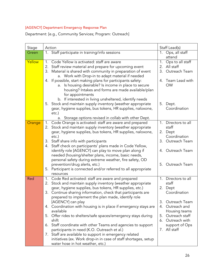# [AGENCY] Department Emergency Response Plan

Department: [e.g., Community Services; Program: Outreach]

| Stage  | Action                                                                                                                                                                                                                                                                                                                                                                                                                                                                                                                                                                                                                                                                                                                                                            | Staff Lead(s)                                                                                                                                                                              |
|--------|-------------------------------------------------------------------------------------------------------------------------------------------------------------------------------------------------------------------------------------------------------------------------------------------------------------------------------------------------------------------------------------------------------------------------------------------------------------------------------------------------------------------------------------------------------------------------------------------------------------------------------------------------------------------------------------------------------------------------------------------------------------------|--------------------------------------------------------------------------------------------------------------------------------------------------------------------------------------------|
| Green  | Staff participate in training/info sessions<br>1.                                                                                                                                                                                                                                                                                                                                                                                                                                                                                                                                                                                                                                                                                                                 | Ops, all staff<br>$1_{\cdot}$<br>attend                                                                                                                                                    |
| Yellow | 1. Code Yellow is activated: staff are aware<br>Staff review material and prepare for upcoming event<br>2.<br>3. Material is shared with community in preparation of event<br>a. Work with Drop-in to adapt material if needed<br>4. If possible, start making plans for participants safety:<br>a. Is housing desirable? Is income in place to secure<br>housing? Intakes and forms are made available/plan<br>for appointments<br>b. If interested in living unsheltered, identify needs                                                                                                                                                                                                                                                                        | 1. Ops to all staff<br>2. All staff<br>3.<br>Outreach Team<br>4. Team Lead with<br><b>OW</b>                                                                                               |
|        | 5. Stock and maintain supply inventory (weather appropriate<br>gear, hygiene supplies, bus tokens, HR supplies, naloxone,<br>etc.)<br>a. Storage options revised in collab with other Dept.                                                                                                                                                                                                                                                                                                                                                                                                                                                                                                                                                                       | 5.<br>Dept.<br>Coordination                                                                                                                                                                |
| Orange | 1. Code Orange is activated: staff are aware and prepared                                                                                                                                                                                                                                                                                                                                                                                                                                                                                                                                                                                                                                                                                                         | 1. Directors to all                                                                                                                                                                        |
|        | 2. Stock and maintain supply inventory (weather appropriate<br>gear, hygiene supplies, bus tokens, HR supplies, naloxone,<br>etc.)                                                                                                                                                                                                                                                                                                                                                                                                                                                                                                                                                                                                                                | staff<br>2. Dept<br>Coordination                                                                                                                                                           |
|        | 3. Staff share info with participants                                                                                                                                                                                                                                                                                                                                                                                                                                                                                                                                                                                                                                                                                                                             | Outreach Team<br>3.                                                                                                                                                                        |
|        | 4. Staff check on participants' plans made in Code Yellow,<br>identify role [AGENCY] can play to move plan along if<br>needed (housing/shelter plans, income, basic needs,<br>personal safety during extreme weather, fire safety, OD                                                                                                                                                                                                                                                                                                                                                                                                                                                                                                                             | 4. Outreach Team                                                                                                                                                                           |
|        | prevention/drug alerts, etc.)<br>5. Participant is connected and/or referred to all appropriate<br>resources                                                                                                                                                                                                                                                                                                                                                                                                                                                                                                                                                                                                                                                      | Outreach Team<br>$5_{-}$                                                                                                                                                                   |
| Red    | 1. Code Red activated: staff are aware and prepared<br>2. Stock and maintain supply inventory (weather appropriate<br>gear, hygiene supplies, bus tokens, HR supplies, etc.)<br>3. Continue sharing information, check that participants are<br>prepared to implement the plan made, identify role<br>[AGENCY] can play<br>4. Coordination with housing is in place if emergency stays are<br>available<br>5. Offer rides to shelters/safe spaces/emergency stays during<br>shift<br>6. Staff coordinate with other Teams and agencies to support<br>participants in need (K.O. Outreach et al.)<br>7. Staff are available to support in emergency related<br>initiatives (ex. Work drop-in in case of staff shortages, setup<br>water hose in hot weather, etc.) | 1. Directors to all<br>staff<br>2. Dept<br>Coordination<br>Outreach Team<br>4. Outreach and<br>Housing teams<br>Outreach staff<br>5.<br>6. Outreach with<br>support of Ops<br>7. All staff |